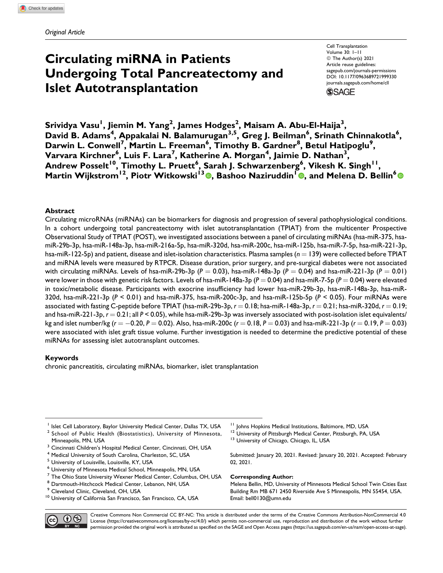# **Circulating miRNA in Patients Undergoing Total Pancreatectomy and Islet Autotransplantation**

Cell Transplantation Volume 30: 1–11 © The Author(s) 2021 Article reuse guidelines: [sagepub.com/journals-permissions](https://sagepub.com/journals-permissions) [DOI: 10.1177/0963689721999330](https://doi.org/10.1177/0963689721999330) [journals.sagepub.com/home/cll](http://journals.sagepub.com/home/cll) **SSAGE** 

 $\boldsymbol{\mathsf{S}}$ rividya Vasu<sup>1</sup>, Jiemin M. Yang<sup>2</sup>, James Hodges<sup>2</sup>, Maisam A. Abu-El-Haija<sup>3</sup>, David B. Adams<sup>4</sup>, Appakalai N. Balamurugan<sup>3,5</sup>, Greg J. Beilman<sup>6</sup>, Srinath Chinnakotla<sup>6</sup>, **Darwin L. Conwell<sup>7</sup> , Martin L. Freeman<sup>6</sup> , Timothy B. Gardner<sup>8</sup> , Betul Hatipoglu<sup>9</sup> , Varvara Kirchner<sup>6</sup> , Luis F. Lara<sup>7</sup> , Katherine A. Morgan<sup>4</sup> , Jaimie D. Nathan<sup>3</sup> ,**  $\mathsf{Andrew}~\mathsf{Posselt}^{10}, \mathsf{Timothy}~\mathsf{L}.\mathsf{Pruett}^6,\mathsf{Sarah}~\mathsf{J}.\mathsf{Schwarzenberg}^6,\mathsf{Vikesh}~\mathsf{K}.\mathsf{Singh}^{11},$  $M$ artin Wijkstrom $^{12}$ [,](https://orcid.org/0000-0002-0671-9572) Piotr Witkowski $^{13}$  **.** Bashoo Naziruddin $^{1}$   $\bullet$ , and Melena D. Bellin $^{6}$ 

### **Abstract**

Circulating microRNAs (miRNAs) can be biomarkers for diagnosis and progression of several pathophysiological conditions. In a cohort undergoing total pancreatectomy with islet autotransplantation (TPIAT) from the multicenter Prospective Observational Study of TPIAT (POST), we investigated associations between a panel of circulating miRNAs (hsa-miR-375, hsamiR-29b-3p, hsa-miR-148a-3p, hsa-miR-216a-5p, hsa-miR-320d, hsa-miR-200c, hsa-miR-125b, hsa-miR-7-5p, hsa-miR-221-3p, hsa-miR-122-5p) and patient, disease and islet-isolation characteristics. Plasma samples  $(n = 139)$  were collected before TPIAT and miRNA levels were measured by RTPCR. Disease duration, prior surgery, and pre-surgical diabetes were not associated with circulating miRNAs. Levels of hsa-miR-29b-3p ( $P = 0.03$ ), hsa-miR-148a-3p ( $P = 0.04$ ) and hsa-miR-221-3p ( $P = 0.01$ ) were lower in those with genetic risk factors. Levels of hsa-miR-148a-3p  $(P = 0.04)$  and hsa-miR-7-5p  $(P = 0.04)$  were elevated in toxic/metabolic disease. Participants with exocrine insufficiency had lower hsa-miR-29b-3p, hsa-miR-148a-3p, hsa-miR-320d, hsa-miR-221-3p (*P* < 0.01) and hsa-miR-375, hsa-miR-200c-3p, and hsa-miR-125b-5p (*P* < 0.05). Four miRNAs were associated with fasting C-peptide before TPIAT (hsa-miR-29b-3p,  $r = 0.18$ ; hsa-miR-148a-3p,  $r = 0.21$ ; hsa-miR-320d,  $r = 0.19$ ; and hsa-miR-221-3p,  $r = 0.21$ ; all  $P < 0.05$ ), while hsa-miR-29b-3p was inversely associated with post-isolation islet equivalents/ kg and islet number/kg (r  $=-0.20$ , P  $=0.02$ ). Also, hsa-miR-200c (r  $=0.18$ , P  $=0.03$ ) and hsa-miR-221-3p (r  $=0.19$ , P  $=0.03$ ) were associated with islet graft tissue volume. Further investigation is needed to determine the predictive potential of these miRNAs for assessing islet autotransplant outcomes.

### **Keywords**

chronic pancreatitis, circulating miRNAs, biomarker, islet transplantation

- <sup>1</sup> Islet Cell Laboratory, Baylor University Medical Center, Dallas TX, USA <sup>2</sup> School of Public Health (Biostatistics), University of Minnesota, Minneapolis, MN, USA
- <sup>3</sup> Cincinnati Children's Hospital Medical Center, Cincinnati, OH, USA
- <sup>4</sup> Medical University of South Carolina, Charleston, SC, USA
- <sup>5</sup> University of Louisville, Louisville, KY, USA
- <sup>6</sup> University of Minnesota Medical School, Minneapolis, MN, USA
- $^7$  The Ohio State University Wexner Medical Center, Columbus, OH, USA
- $8$  Dartmouth-Hitchcock Medical Center, Lebanon, NH, USA<br> $9$  Cleveland Clinic, Cleveland, OH, USA
- 
- <sup>10</sup> University of California San Francisco, San Francisco, CA, USA
- 
- <sup>11</sup> Johns Hopkins Medical Institutions, Baltimore, MD, USA <sup>12</sup> University of Pittsburgh Medical Center, Pittsburgh, PA, USA 13 University of Chicago, Chicago, IL, USA
- 
- Submitted: January 20, 2021. Revised: January 20, 2021. Accepted: February 02, 2021.

### **Corresponding Author:**

Melena Bellin, MD, University of Minnesota Medical School Twin Cities East Building Rm MB 671 2450 Riverside Ave S Minneapolis, MN 55454, USA. Email: [bell0130@umn.edu](mailto:bell0130@umn.edu)



Creative Commons Non Commercial CC BY-NC: This article is distributed under the terms of the Creative Commons Attribution-NonCommercial 4.0 License [\(https://creativecommons.org/licenses/by-nc/4.0/](https://creativecommons.org/licenses/by-nc/4.0/)) which permits non-commercial use, reproduction and distribution of the work without further permission provided the original work is attributed as specified on the SAGE and Open Access pages ([https://us.sagepub.com/en-us/nam/open-access-at-sage\)](https://us.sagepub.com/en-us/nam/open-access-at-sage).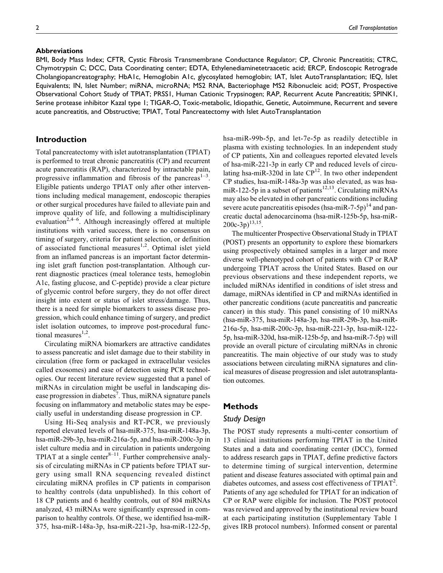### **Abbreviations**

2 *Cell Transplantation*

BMI, Body Mass Index; CFTR, Cystic Fibrosis Transmembrane Conductance Regulator; CP, Chronic Pancreatitis; CTRC, Chymotrypsin C; DCC, Data Coordinating center; EDTA, Ethylenediaminetetraacetic acid; ERCP, Endoscopic Retrograde Cholangiopancreatography; HbA1c, Hemoglobin A1c, glycosylated hemoglobin; IAT, Islet AutoTransplantation; IEQ, Islet Equivalents; IN, Islet Number; miRNA, microRNA; MS2 RNA, Bacteriophage MS2 Ribonucleic acid; POST, Prospective Observational Cohort Study of TPIAT; PRSS1, Human Cationic Trypsinogen; RAP, Recurrent Acute Pancreatitis; SPINK1, Serine protease inhibitor Kazal type 1; TIGAR-O, Toxic-metabolic, Idiopathic, Genetic, Autoimmune, Recurrent and severe acute pancreatitis, and Obstructive; TPIAT, Total Pancreatectomy with Islet AutoTransplantation

# **Introduction**

Total pancreatectomy with islet autotransplantation (TPIAT) is performed to treat chronic pancreatitis (CP) and recurrent acute pancreatitis (RAP), characterized by intractable pain, progressive inflammation and fibrosis of the pancreas $1-3$ . Eligible patients undergo TPIAT only after other interventions including medical management, endoscopic therapies or other surgical procedures have failed to alleviate pain and improve quality of life, and following a multidisciplinary evaluation<sup>2,4–6</sup>. Although increasingly offered at multiple institutions with varied success, there is no consensus on timing of surgery, criteria for patient selection, or definition of associated functional measures<sup>1,2</sup>. Optimal islet yield from an inflamed pancreas is an important factor determining islet graft function post-transplantation. Although current diagnostic practices (meal tolerance tests, hemoglobin A1c, fasting glucose, and C-peptide) provide a clear picture of glycemic control before surgery, they do not offer direct insight into extent or status of islet stress/damage. Thus, there is a need for simple biomarkers to assess disease progression, which could enhance timing of surgery, and predict islet isolation outcomes, to improve post-procedural functional measures $1,2$ .

Circulating miRNA biomarkers are attractive candidates to assess pancreatic and islet damage due to their stability in circulation (free form or packaged in extracellular vesicles called exosomes) and ease of detection using PCR technologies. Our recent literature review suggested that a panel of miRNAs in circulation might be useful in landscaping disease progression in diabetes<sup>7</sup>. Thus, miRNA signature panels focusing on inflammatory and metabolic states may be especially useful in understanding disease progression in CP.

Using Hi-Seq analysis and RT-PCR, we previously reported elevated levels of hsa-miR-375, hsa-miR-148a-3p, hsa-miR-29b-3p, hsa-miR-216a-5p, and hsa-miR-200c-3p in islet culture media and in circulation in patients undergoing TPIAT at a single center $8-11$ . Further comprehensive analysis of circulating miRNAs in CP patients before TPIAT surgery using small RNA sequencing revealed distinct circulating miRNA profiles in CP patients in comparison to healthy controls (data unpublished). In this cohort of 18 CP patients and 6 healthy controls, out of 804 miRNAs analyzed, 43 miRNAs were significantly expressed in comparison to healthy controls. Of these, we identified hsa-miR-375, hsa-miR-148a-3p, hsa-miR-221-3p, hsa-miR-122-5p,

hsa-miR-99b-5p, and let-7e-5p as readily detectible in plasma with existing technologies. In an independent study of CP patients, Xin and colleagues reported elevated levels of hsa-miR-221-3p in early CP and reduced levels of circulating hsa-miR-320d in late  $\mathbb{CP}^{12}$ . In two other independent CP studies, hsa-miR-148a-3p was also elevated, as was hsamiR-122-5p in a subset of patients<sup>12,13</sup>. Circulating miRNAs may also be elevated in other pancreatic conditions including severe acute pancreatitis episodes (hsa-miR-7-5p)<sup>14</sup> and pancreatic ductal adenocarcinoma (hsa-miR-125b-5p, hsa-miR- $200c-3p)^{13,15}$ .

The multicenter Prospective Observational Study in TPIAT (POST) presents an opportunity to explore these biomarkers using prospectively obtained samples in a larger and more diverse well-phenotyped cohort of patients with CP or RAP undergoing TPIAT across the United States. Based on our previous observations and these independent reports, we included miRNAs identified in conditions of islet stress and damage, miRNAs identified in CP and miRNAs identified in other pancreatic conditions (acute pancreatitis and pancreatic cancer) in this study. This panel consisting of 10 miRNAs (hsa-miR-375, hsa-miR-148a-3p, hsa-miR-29b-3p, hsa-miR-216a-5p, hsa-miR-200c-3p, hsa-miR-221-3p, hsa-miR-122- 5p, hsa-miR-320d, hsa-miR-125b-5p, and hsa-miR-7-5p) will provide an overall picture of circulating miRNAs in chronic pancreatitis. The main objective of our study was to study associations between circulating miRNA signatures and clinical measures of disease progression and islet autotransplantation outcomes.

# **Methods**

### *Study Design*

The POST study represents a multi-center consortium of 13 clinical institutions performing TPIAT in the United States and a data and coordinating center (DCC), formed to address research gaps in TPIAT, define predictive factors to determine timing of surgical intervention, determine patient and disease features associated with optimal pain and diabetes outcomes, and assess cost effectiveness of  $TPIAT^2$ . Patients of any age scheduled for TPIAT for an indication of CP or RAP were eligible for inclusion. The POST protocol was reviewed and approved by the institutional review board at each participating institution (Supplementary Table 1 gives IRB protocol numbers). Informed consent or parental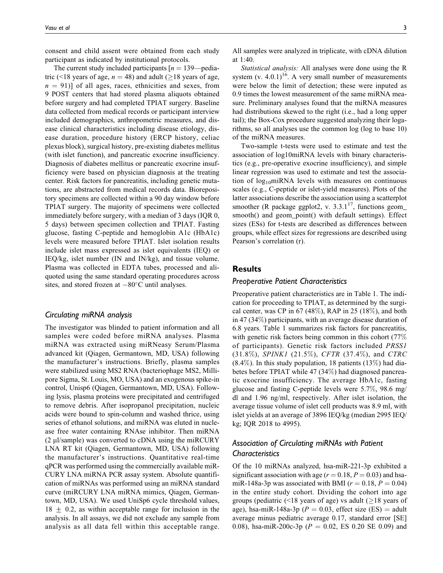consent and child assent were obtained from each study participant as indicated by institutional protocols.

The current study included participants  $[n = 139$ —pediatric (<18 years of age,  $n = 48$ ) and adult ( $\geq$ 18 years of age,  $n = 91$ )] of all ages, races, ethnicities and sexes, from 9 POST centers that had stored plasma aliquots obtained before surgery and had completed TPIAT surgery. Baseline data collected from medical records or participant interview included demographics, anthropometric measures, and disease clinical characteristics including disease etiology, disease duration, procedure history (ERCP history, celiac plexus block), surgical history, pre-existing diabetes mellitus (with islet function), and pancreatic exocrine insufficiency. Diagnosis of diabetes mellitus or pancreatic exocrine insufficiency were based on physician diagnosis at the treating center. Risk factors for pancreatitis, including genetic mutations, are abstracted from medical records data. Biorepository specimens are collected within a 90 day window before TPIAT surgery. The majority of specimens were collected immediately before surgery, with a median of 3 days (IQR 0, 5 days) between specimen collection and TPIAT. Fasting glucose, fasting C-peptide and hemoglobin A1c (HbA1c) levels were measured before TPIAT. Islet isolation results include islet mass expressed as islet equivalents (IEQ) or IEQ/kg, islet number (IN and IN/kg), and tissue volume. Plasma was collected in EDTA tubes, processed and aliquoted using the same standard operating procedures across sites, and stored frozen at  $-80^{\circ}$ C until analyses.

### *Circulating miRNA analysis*

The investigator was blinded to patient information and all samples were coded before miRNA analyses. Plasma miRNA was extracted using miRNeasy Serum/Plasma advanced kit (Qiagen, Germantown, MD, USA) following the manufacturer's instructions. Briefly, plasma samples were stabilized using MS2 RNA (bacteriophage MS2, Millipore Sigma, St. Louis, MO, USA) and an exogenous spike-in control, Unisp6 (Qiagen, Germantown, MD, USA). Following lysis, plasma proteins were precipitated and centrifuged to remove debris. After isopropanol precipitation, nucleic acids were bound to spin-column and washed thrice, using series of ethanol solutions, and miRNA was eluted in nuclease free water containing RNAse inhibitor. Then miRNA  $(2 \mu$ l/sample) was converted to cDNA using the miRCURY LNA RT kit (Qiagen, Germantown, MD, USA) following the manufacturer's instructions. Quantitative real-time qPCR was performed using the commercially available miR-CURY LNA miRNA PCR assay system. Absolute quantification of miRNAs was performed using an miRNA standard curve (miRCURY LNA miRNA mimics, Qiagen, Germantown, MD, USA). We used UniSp6 cycle threshold values,  $18 \pm 0.2$ , as within acceptable range for inclusion in the analysis. In all assays, we did not exclude any sample from analysis as all data fell within this acceptable range. All samples were analyzed in triplicate, with cDNA dilution at 1:40.

Statistical analysis: All analyses were done using the R system (v.  $4.0.1$ )<sup>16</sup>. A very small number of measurements were below the limit of detection; these were inputed as 0.9 times the lowest measurement of the same miRNA measure. Preliminary analyses found that the miRNA measures had distributions skewed to the right (i.e., had a long upper tail); the Box-Cox procedure suggested analyzing their logarithms, so all analyses use the common log (log to base 10) of the miRNA measures.

Two-sample t-tests were used to estimate and test the association of log10miRNA levels with binary characteristics (e.g., pre-operative exocrine insufficiency), and simple linear regression was used to estimate and test the association of  $log_{10}$ miRNA levels with measures on continuous scales (e.g., C-peptide or islet-yield measures). Plots of the latter associations describe the association using a scatterplot smoother (R package ggplot2, v.  $3.3.1^{17}$ , functions geom\_ smooth() and geom\_point() with default settings). Effect sizes (ESs) for t-tests are described as differences between groups, while effect sizes for regressions are described using Pearson's correlation (r).

### **Results**

### *Preoperative Patient Characteristics*

Preoperative patient characteristics are in Table 1. The indication for proceeding to TPIAT, as determined by the surgical center, was CP in  $67$  (48%), RAP in 25 (18%), and both in 47 (34%) participants, with an average disease duration of 6.8 years. Table 1 summarizes risk factors for pancreatitis, with genetic risk factors being common in this cohort (77% of participants). Genetic risk factors included PRSS1 (31.8%), SPINK1 (21.5%), CFTR (37.4%), and CTRC  $(8.4\%)$ . In this study population, 18 patients  $(13\%)$  had diabetes before TPIAT while 47 (34%) had diagnosed pancreatic exocrine insufficiency. The average HbA1c, fasting glucose and fasting C-peptide levels were 5.7%, 98.6 mg/ dl and 1.96 ng/ml, respectively. After islet isolation, the average tissue volume of islet cell products was 8.9 ml, with islet yields at an average of 3896 IEQ/kg (median 2995 IEQ/ kg; IQR 2018 to 4995).

# *Association of Circulating miRNAs with Patient Characteristics*

Of the 10 miRNAs analyzed, hsa-miR-221-3p exhibited a significant association with age ( $r = 0.18$ ,  $P = 0.03$ ) and hsamiR-148a-3p was associated with BMI ( $r = 0.18$ ,  $P = 0.04$ ) in the entire study cohort. Dividing the cohort into age groups (pediatric  $($  <18 years of age) vs adult  $($   $\geq$  18 years of age), hsa-miR-148a-3p ( $P = 0.03$ , effect size (ES) = adult average minus pediatric average 0.17, standard error [SE] 0.08), hsa-miR-200c-3p ( $P = 0.02$ , ES 0.20 SE 0.09) and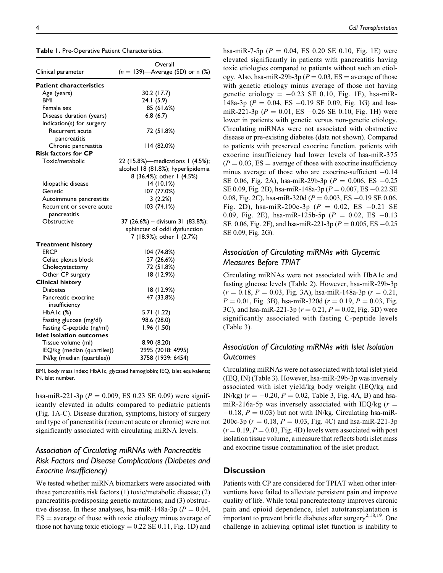| Table 1. Pre-Operative Patient Characteristics. |  |
|-------------------------------------------------|--|
|-------------------------------------------------|--|

|                                | Overall                            |
|--------------------------------|------------------------------------|
| Clinical parameter             | $(n = 139)$ —Average (SD) or n (%) |
| <b>Patient characteristics</b> |                                    |
| Age (years)                    | 30.2 (17.7)                        |
| <b>BMI</b>                     | 24.1 (5.9)                         |
| Female sex                     | 85 (61.6%)                         |
| Disease duration (years)       | 6.8(6.7)                           |
| Indication(s) for surgery      |                                    |
| Recurrent acute                | 72 (51.8%)                         |
| pancreatitis                   |                                    |
| Chronic pancreatitis           | 114 (82.0%)                        |
| <b>Risk factors for CP</b>     |                                    |
| Toxic/metabolic                | 22 (15.8%)—medications 1 (4.5%);   |
|                                | alcohol 18 (81.8%); hyperlipidemia |
|                                | 8 (36.4%); other 1 (4.5%)          |
| Idiopathic disease             | 14 (10.1%)                         |
| Genetic                        | 107 (77.0%)                        |
| Autoimmune pancreatitis        | 3 (2.2%)                           |
| Recurrent or severe acute      | 103 (74.1%)                        |
| pancreatitis                   |                                    |
| Obstructive                    | 37 (26.6%) – divisum 31 (83.8%);   |
|                                | sphincter of oddi dysfunction      |
|                                | 7 (18.9%); other 1 (2.7%)          |
| <b>Treatment history</b>       |                                    |
| ERCP                           | 104 (74.8%)                        |
| Celiac plexus block            | 37 (26.6%)                         |
| Cholecystectomy                | 72 (51.8%)                         |
| Other CP surgery               | 18 (12.9%)                         |
| <b>Clinical history</b>        |                                    |
| <b>Diabetes</b>                | 18 (12.9%)                         |
| Pancreatic exocrine            | 47 (33.8%)                         |
| insufficiency                  |                                    |
| HbAIc(%)                       | 5.71 (1.22)                        |
| Fasting glucose (mg/dl)        | 98.6 (28.0)                        |
| Fasting C-peptide (ng/ml)      | 1.96 (1.50)                        |
| Islet isolation outcomes       |                                    |
| Tissue volume (ml)             | 8.90 (8.20)                        |
| IEQ/kg (median (quartiles))    | 2995 (2018: 4995)                  |
| IN/kg (median (quartiles))     | 3758 (1939: 6454)                  |

BMI, body mass index; HbA1c, glycated hemoglobin; IEQ, islet equivalents; IN, islet number.

hsa-miR-221-3p ( $P = 0.009$ , ES 0.23 SE 0.09) were significantly elevated in adults compared to pediatric patients (Fig. 1A-C). Disease duration, symptoms, history of surgery and type of pancreatitis (recurrent acute or chronic) were not significantly associated with circulating miRNA levels.

# *Association of Circulating miRNAs with Pancreatitis Risk Factors and Disease Complications (Diabetes and Exocrine Insufficiency)*

We tested whether miRNA biomarkers were associated with these pancreatitis risk factors (1) toxic/metabolic disease; (2) pancreatitis-predisposing genetic mutations; and (3) obstructive disease. In these analyses, hsa-miR-148a-3p ( $P = 0.04$ ,  $ES = average of those with toxic etiology minus average of$ those not having toxic etiology  $= 0.22$  SE 0.11, Fig. 1D) and hsa-miR-7-5p ( $P = 0.04$ , ES 0.20 SE 0.10, Fig. 1E) were elevated significantly in patients with pancreatitis having toxic etiologies compared to patients without such an etiology. Also, hsa-miR-29b-3p ( $P = 0.03$ , ES = average of those with genetic etiology minus average of those not having genetic etiology  $= -0.23$  SE 0.10, Fig. 1F), hsa-miR-148a-3p ( $P = 0.04$ , ES  $-0.19$  SE 0.09, Fig. 1G) and hsamiR-221-3p ( $P = 0.01$ , ES  $-0.26$  SE 0.10, Fig. 1H) were lower in patients with genetic versus non-genetic etiology. Circulating miRNAs were not associated with obstructive disease or pre-existing diabetes (data not shown). Compared to patients with preserved exocrine function, patients with exocrine insufficiency had lower levels of hsa-miR-375  $(P = 0.03, ES = average of those with exocrine insufficiency$ minus average of those who are exocrine-sufficient  $-0.14$ SE 0.06, Fig. 2A), hsa-miR-29b-3p ( $P = 0.006$ , ES  $-0.25$ SE 0.09, Fig. 2B), hsa-miR-148a-3p ( $P = 0.007$ , ES  $-0.22$  SE 0.08, Fig. 2C), hsa-miR-320d ( $P = 0.003$ , ES  $-0.19$  SE 0.06, Fig. 2D), hsa-miR-200c-3p ( $P = 0.02$ , ES -0.21 SE 0.09, Fig. 2E), hsa-miR-125b-5p ( $P = 0.02$ , ES  $-0.13$ ) SE 0.06, Fig. 2F), and hsa-miR-221-3p ( $P = 0.005$ , ES  $-0.25$ SE 0.09, Fig. 2G).

# *Association of Circulating miRNAs with Glycemic Measures Before TPIAT*

Circulating miRNAs were not associated with HbA1c and fasting glucose levels (Table 2). However, hsa-miR-29b-3p  $(r = 0.18, P = 0.03, Fig. 3A),$  hsa-miR-148a-3p  $(r = 0.21,$  $P = 0.01$ , Fig. 3B), hsa-miR-320d ( $r = 0.19$ ,  $P = 0.03$ , Fig. 3C), and hsa-miR-221-3p ( $r = 0.21$ ,  $P = 0.02$ , Fig. 3D) were significantly associated with fasting C-peptide levels (Table 3).

# *Association of Circulating miRNAs with Islet Isolation Outcomes*

Circulating miRNAs were not associated with total islet yield (IEQ, IN) (Table 3). However, hsa-miR-29b-3p was inversely associated with islet yield/kg body weight (IEQ/kg and IN/kg)  $(r = -0.20, P = 0.02,$  Table 3, Fig. 4A, B) and hsamiR-216a-5p was inversely associated with IEQ/kg ( $r =$  $-0.18$ ,  $P = 0.03$ ) but not with IN/kg. Circulating hsa-miR-200c-3p ( $r = 0.18$ ,  $P = 0.03$ , Fig. 4C) and hsa-miR-221-3p  $(r = 0.19, P = 0.03, Fig. 4D)$  levels were associated with post isolation tissue volume, a measure that reflects both islet mass and exocrine tissue contamination of the islet product.

# **Discussion**

Patients with CP are considered for TPIAT when other interventions have failed to alleviate persistent pain and improve quality of life. While total pancreatectomy improves chronic pain and opioid dependence, islet autotransplantation is important to prevent brittle diabetes after surgery<sup>2,18,19</sup>. One challenge in achieving optimal islet function is inability to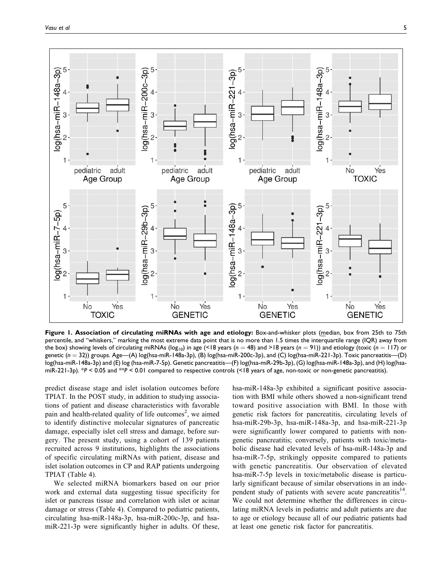

**Figure 1. Association of circulating miRNAs with age and etiology:** Box-and-whisker plots (median, box from 25th to 75th percentile, and "whiskers," marking the most extreme data point that is no more than 1.5 times the interquartile range (IQR) away from the box) showing levels of circulating miRNAs ( $log_{10}$ ) in age (<18 years (*n* = 48) and >18 years (*n* = 91)) and etiology (toxic (*n* = 117) or genetic ( $n = 32$ )) groups. Age—(A) log(hsa-miR-148a-3p), (B) log(hsa-miR-200c-3p), and (C) log(hsa-miR-221-3p). Toxic pancreatitis—(D) log(hsa-miR-148a-3p) and (E) log (hsa-miR-7-5p). Genetic pancreatitis—(F) log(hsa-miR-29b-3p), (G) log(hsa-miR-148a-3p), and (H) log(hsamiR-221-3p). \**P* < 0.05 and \*\**P* < 0.01 compared to respective controls (<18 years of age, non-toxic or non-genetic pancreatitis).

predict disease stage and islet isolation outcomes before TPIAT. In the POST study, in addition to studying associations of patient and disease characteristics with favorable pain and health-related quality of life outcomes<sup>2</sup>, we aimed to identify distinctive molecular signatures of pancreatic damage, especially islet cell stress and damage, before surgery. The present study, using a cohort of 139 patients recruited across 9 institutions, highlights the associations of specific circulating miRNAs with patient, disease and islet isolation outcomes in CP and RAP patients undergoing TPIAT (Table 4).

We selected miRNA biomarkers based on our prior work and external data suggesting tissue specificity for islet or pancreas tissue and correlation with islet or acinar damage or stress (Table 4). Compared to pediatric patients, circulating hsa-miR-148a-3p, hsa-miR-200c-3p, and hsamiR-221-3p were significantly higher in adults. Of these, hsa-miR-148a-3p exhibited a significant positive association with BMI while others showed a non-significant trend toward positive association with BMI. In those with genetic risk factors for pancreatitis, circulating levels of hsa-miR-29b-3p, hsa-miR-148a-3p, and hsa-miR-221-3p were significantly lower compared to patients with nongenetic pancreatitis; conversely, patients with toxic/metabolic disease had elevated levels of hsa-miR-148a-3p and hsa-miR-7-5p, strikingly opposite compared to patients with genetic pancreatitis. Our observation of elevated hsa-miR-7-5p levels in toxic/metabolic disease is particularly significant because of similar observations in an independent study of patients with severe acute pancreatitis<sup>14</sup>. We could not determine whether the differences in circulating miRNA levels in pediatric and adult patients are due to age or etiology because all of our pediatric patients had at least one genetic risk factor for pancreatitis.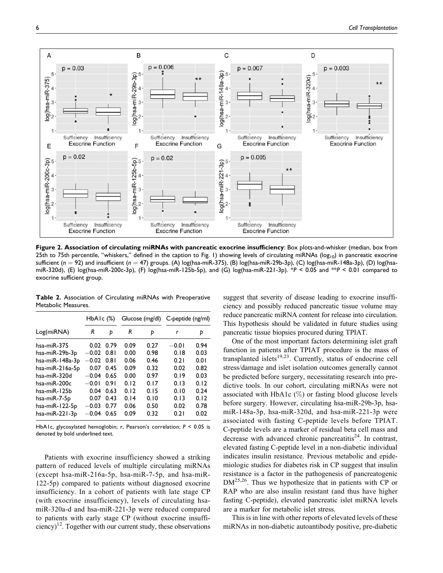

**Figure 2. Association of circulating miRNAs with pancreatic exocrine insufficiency**: Box plots-and-whisker (median, box from 25th to 75th percentile, "whiskers," defined in the caption to Fig. 1) showing levels of circulating miRNAs ( $log_{10}$ ) in pancreatic exocrine sufficient (*n* = 92) and insufficient (*n* = 47) groups. (A) log(hsa-miR-375), (B) log(hsa-miR-29b-3p), (C) log(hsa-miR-148a-3p), (D) log(hsamiR-320d), (E) log(hsa-miR-200c-3p), (F) log(hsa-miR-125b-5p), and (G) log(hsa-miR-221-3p). \**P* < 0.05 and \*\**P* < 0.01 compared to exocrine sufficient group.

**Table 2.** Association of Circulating miRNAs with Preoperative Metabolic Measures.

|                 | $HbA1c$ $(\%)$ |      |      | Glucose (mg/dl) | C-peptide (ng/ml) |      |  |
|-----------------|----------------|------|------|-----------------|-------------------|------|--|
| Log(miRNA)      | R<br>Þ         |      | R    | Þ               | r                 | Þ    |  |
| hsa-miR-375     | 0.02           | 0.79 | 0.09 | 0.27            | $-0.01$           | 0.94 |  |
| hsa-miR-29b-3p  | $-0.02$ 0.81   |      | 0.00 | 0.98            | 0.18              | 0.03 |  |
| hsa-miR-148a-3p | $-0.02$ 0.81   |      | 0.06 | 0.46            | 0.21              | 0.01 |  |
| hsa-miR-216a-5p | 0.07           | 0.45 | 0.09 | 0.32            | 0.02              | 0.82 |  |
| hsa-miR-320d    | $-0.04$        | 0.65 | 0.00 | 0.97            | 0.19              | 0.03 |  |
| hsa-miR-200c    | $-0.01$        | 0.91 | 0.12 | 0.17            | 0.13              | 0.12 |  |
| hsa-miR-125b    | 0.04           | 0.63 | 0.12 | 0.15            | 0.10              | 0.24 |  |
| hsa-miR-7-5p    | 0.07           | 0.43 | 0.14 | 0.10            | 0.13              | 0.12 |  |
| hsa-miR-122-5p  | $-0.03$        | 0.77 | 0.06 | 0.50            | 0.02              | 0.78 |  |
| hsa-miR-221-3p  | $-0.04$        | 0.65 | 0.09 | 0.32            | 0.21              | 0.02 |  |

HbA1c, glycosylated hemoglobin; r, Pearson's correlation; *P* < 0.05 is denoted by bold underlined text.

Patients with exocrine insufficiency showed a striking pattern of reduced levels of multiple circulating miRNAs (except hsa-miR-216a-5p, hsa-miR-7-5p, and hsa-miR-122-5p) compared to patients without diagnosed exocrine insufficiency. In a cohort of patients with late stage CP (with exocrine insufficiency), levels of circulating hsamiR-320a-d and hsa-miR-221-3p were reduced compared to patients with early stage CP (without exocrine insufficiency)<sup>12</sup>. Together with our current study, these observations suggest that severity of disease leading to exocrine insufficiency and possibly reduced pancreatic tissue volume may reduce pancreatic miRNA content for release into circulation. This hypothesis should be validated in future studies using pancreatic tissue biopsies procured during TPIAT.

One of the most important factors determining islet graft function in patients after TPIAT procedure is the mass of transplanted islets<sup>19,23</sup>. Currently, status of endocrine cell stress/damage and islet isolation outcomes generally cannot be predicted before surgery, necessitating research into predictive tools. In our cohort, circulating miRNAs were not associated with HbA1c  $(\%)$  or fasting blood glucose levels before surgery. However, circulating hsa-miR-29b-3p, hsamiR-148a-3p, hsa-miR-320d, and hsa-miR-221-3p were associated with fasting C-peptide levels before TPIAT. C-peptide levels are a marker of residual beta cell mass and decrease with advanced chronic pancreatitis<sup>24</sup>. In contrast, elevated fasting C-peptide level in a non-diabetic individual indicates insulin resistance. Previous metabolic and epidemiologic studies for diabetes risk in CP suggest that insulin resistance is a factor in the pathogenesis of pancreatogenic DM<sup>25,26</sup>. Thus we hypothesize that in patients with CP or RAP who are also insulin resistant (and thus have higher fasting C-peptide), elevated pancreatic islet miRNA levels are a marker for metabolic islet stress.

This is in line with other reports of elevated levels of these miRNAs in non-diabetic autoantibody positive, pre-diabetic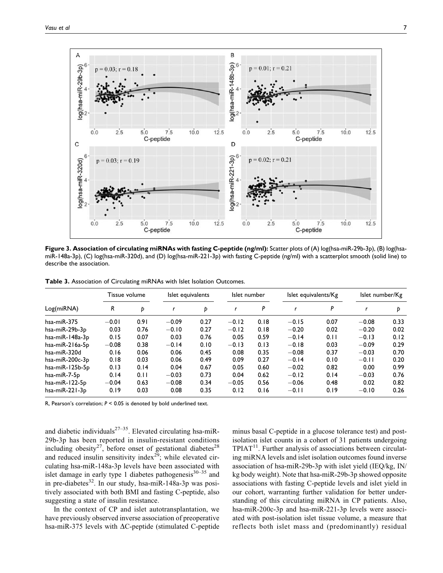

**Figure 3. Association of circulating miRNAs with fasting C-peptide (ng/ml):** Scatter plots of (A) log(hsa-miR-29b-3p), (B) log(hsamiR-148a-3p), (C) log(hsa-miR-320d), and (D) log(hsa-miR-221-3p) with fasting C-peptide (ng/ml) with a scatterplot smooth (solid line) to describe the association.

|  | Table 3. Association of Circulating miRNAs with Islet Isolation Outcomes. |  |
|--|---------------------------------------------------------------------------|--|
|--|---------------------------------------------------------------------------|--|

|                       | Tissue volume |      | Islet equivalents |      | Islet number |      | Islet equivalents/Kg |      | Islet number/Kg |      |
|-----------------------|---------------|------|-------------------|------|--------------|------|----------------------|------|-----------------|------|
| Log(miRNA)            | R             | Þ    |                   | Þ    |              | P    |                      | P    |                 | D    |
| $hsa$ -mi $R-375$     | $-0.01$       | 0.91 | $-0.09$           | 0.27 | $-0.12$      | 0.18 | $-0.15$              | 0.07 | $-0.08$         | 0.33 |
| hsa-miR-29b-3p        | 0.03          | 0.76 | $-0.10$           | 0.27 | $-0.12$      | 0.18 | $-0.20$              | 0.02 | $-0.20$         | 0.02 |
| hsa-miR-148a-3p       | 0.15          | 0.07 | 0.03              | 0.76 | 0.05         | 0.59 | $-0.14$              | 0.11 | $-0.13$         | 0.12 |
| $hsa$ -mi $R-216a-5p$ | $-0.08$       | 0.38 | $-0.14$           | 0.10 | $-0.13$      | 0.13 | $-0.18$              | 0.03 | $-0.09$         | 0.29 |
| hsa-miR-320d          | 0.16          | 0.06 | 0.06              | 0.45 | 0.08         | 0.35 | $-0.08$              | 0.37 | $-0.03$         | 0.70 |
| hsa-miR-200c-3p       | 0.18          | 0.03 | 0.06              | 0.49 | 0.09         | 0.27 | $-0.14$              | 0.10 | $-0.11$         | 0.20 |
| hsa-miR-125b-5p       | 0.13          | 0.14 | 0.04              | 0.67 | 0.05         | 0.60 | $-0.02$              | 0.82 | 0.00            | 0.99 |
| hsa-miR-7-5p          | 0.14          | 0.11 | $-0.03$           | 0.73 | 0.04         | 0.62 | $-0.12$              | 0.14 | $-0.03$         | 0.76 |
| hsa-miR-122-5p        | $-0.04$       | 0.63 | $-0.08$           | 0.34 | $-0.05$      | 0.56 | $-0.06$              | 0.48 | 0.02            | 0.82 |
| hsa-miR-221-3p        | 0.19          | 0.03 | 0.08              | 0.35 | 0.12         | 0.16 | $-0.11$              | 0.19 | $-0.10$         | 0.26 |

R, Pearson's correlation; *P* < 0.05 is denoted by bold underlined text.

and diabetic individuals<sup>27–35</sup>. Elevated circulating hsa-miR-29b-3p has been reported in insulin-resistant conditions including obesity<sup>27</sup>, before onset of gestational diabetes<sup>28</sup> and reduced insulin sensitivity index $2^9$ ; while elevated circulating hsa-miR-148a-3p levels have been associated with islet damage in early type 1 diabetes pathogenesis $30-35$  and in pre-diabetes $^{32}$ . In our study, hsa-miR-148a-3p was positively associated with both BMI and fasting C-peptide, also suggesting a state of insulin resistance.

In the context of CP and islet autotransplantation, we have previously observed inverse association of preoperative hsa-miR-375 levels with  $\Delta C$ -peptide (stimulated C-peptide minus basal C-peptide in a glucose tolerance test) and postisolation islet counts in a cohort of 31 patients undergoing  $TPIAT<sup>11</sup>$ . Further analysis of associations between circulating miRNA levels and islet isolation outcomes found inverse association of hsa-miR-29b-3p with islet yield (IEQ/kg, IN/ kg body weight). Note that hsa-miR-29b-3p showed opposite associations with fasting C-peptide levels and islet yield in our cohort, warranting further validation for better understanding of this circulating miRNA in CP patients. Also, hsa-miR-200c-3p and hsa-miR-221-3p levels were associated with post-isolation islet tissue volume, a measure that reflects both islet mass and (predominantly) residual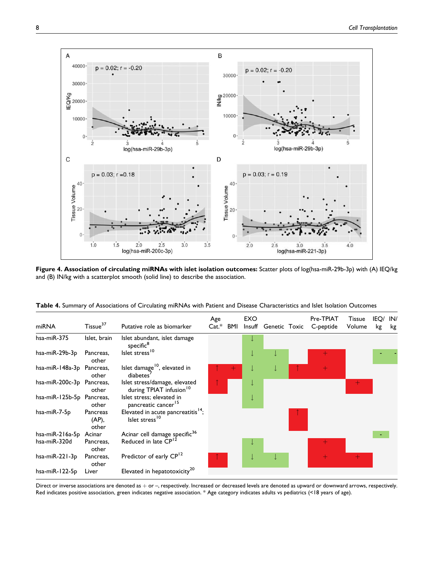

**Figure 4. Association of circulating miRNAs with islet isolation outcomes:** Scatter plots of log(hsa-miR-29b-3p) with (A) IEQ/kg and (B) IN/kg with a scatterplot smooth (solid line) to describe the association.

| miRNA                     | Tissue <sup>37</sup>       | Putative role as biomarker                                                   | Age<br>$Cat.*$ | BMI | EXO<br>Insuff | Genetic Toxic | Pre-TPIAT<br>C-peptide | <b>Tissue</b><br>Volume | IEQ/<br>kg | IN/<br>kg |
|---------------------------|----------------------------|------------------------------------------------------------------------------|----------------|-----|---------------|---------------|------------------------|-------------------------|------------|-----------|
| hsa-miR-375               | Islet, brain               | Islet abundant, islet damage<br>specific <sup>8</sup>                        |                |     |               |               |                        |                         |            |           |
| hsa-miR-29b-3p            | Pancreas,<br>other         | Islet stress <sup>10</sup>                                                   |                |     |               |               |                        |                         |            |           |
| hsa-miR-148a-3p Pancreas, | other                      | Islet damage <sup>10</sup> , elevated in<br>diabetes <sup>'</sup>            |                |     |               |               |                        |                         |            |           |
| hsa-miR-200c-3p Pancreas, | other                      | Islet stress/damage, elevated<br>during TPIAT infusion <sup>10</sup>         |                |     |               |               |                        | ┿                       |            |           |
| hsa-miR-125b-5p Pancreas, | other                      | Islet stress; elevated in<br>pancreatic cancer <sup>15</sup>                 |                |     |               |               |                        |                         |            |           |
| hsa-miR-7-5p              | Pancreas<br>(AP),<br>other | Elevated in acute pancreatitis <sup>14</sup> ;<br>Islet stress <sup>10</sup> |                |     |               |               |                        |                         |            |           |
| hsa-miR-216a-5p Acinar    |                            | Acinar cell damage specific <sup>36</sup>                                    |                |     |               |               |                        |                         |            |           |
| hsa-miR-320d              | Pancreas,<br>other         | Reduced in late CP <sup>12</sup>                                             |                |     |               |               |                        |                         |            |           |
| hsa-miR-221-3p            | Pancreas,<br>other         | Predictor of early CP <sup>12</sup>                                          |                |     |               |               | $+$                    |                         |            |           |
| hsa-miR-122-5p            | Liver                      | Elevated in hepatotoxicity <sup>20</sup>                                     |                |     |               |               |                        |                         |            |           |

**Table 4.** Summary of Associations of Circulating miRNAs with Patient and Disease Characteristics and Islet Isolation Outcomes

Direct or inverse associations are denoted as  $+$  or  $-$ , respectively. Increased or decreased levels are denoted as upward or downward arrows, respectively. Red indicates positive association, green indicates negative association. \* Age category indicates adults vs pediatrics (<18 years of age).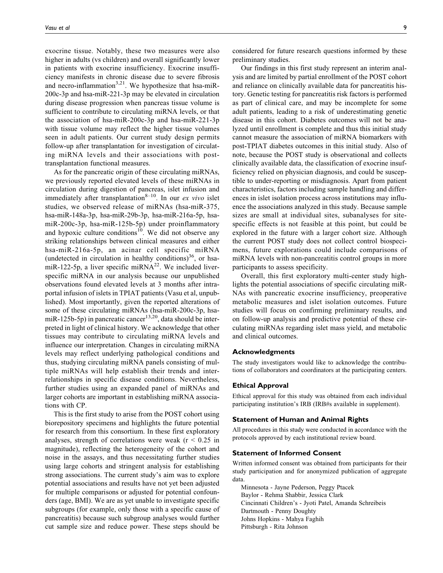exocrine tissue. Notably, these two measures were also higher in adults (vs children) and overall significantly lower in patients with exocrine insufficiency. Exocrine insufficiency manifests in chronic disease due to severe fibrosis and necro-inflammation<sup>3,21</sup>. We hypothesize that hsa-miR-200c-3p and hsa-miR-221-3p may be elevated in circulation during disease progression when pancreas tissue volume is sufficient to contribute to circulating miRNA levels, or that the association of hsa-miR-200c-3p and hsa-miR-221-3p with tissue volume may reflect the higher tissue volumes seen in adult patients. Our current study design permits follow-up after transplantation for investigation of circulating miRNA levels and their associations with posttransplantation functional measures.

As for the pancreatic origin of these circulating miRNAs, we previously reported elevated levels of these miRNAs in circulation during digestion of pancreas, islet infusion and immediately after transplantation<sup>8–10</sup>. In our *ex vivo* islet studies, we observed release of miRNAs (hsa-miR-375, hsa-miR-148a-3p, hsa-miR-29b-3p, hsa-miR-216a-5p, hsamiR-200c-3p, hsa-miR-125b-5p) under proinflammatory and hypoxic culture conditions<sup>10</sup>. We did not observe any striking relationships between clinical measures and either hsa-miR-216a-5p, an acinar cell specific miRNA (undetected in circulation in healthy conditions)<sup>36</sup>, or hsamiR-122-5p, a liver specific miRNA<sup>22</sup>. We included liverspecific miRNA in our analysis because our unpublished observations found elevated levels at 3 months after intraportal infusion of islets in TPIAT patients (Vasu et al, unpublished). Most importantly, given the reported alterations of some of these circulating miRNAs (hsa-miR-200c-3p, hsamiR-125b-5p) in pancreatic cancer<sup>13,20</sup>, data should be interpreted in light of clinical history. We acknowledge that other tissues may contribute to circulating miRNA levels and influence our interpretation. Changes in circulating miRNA levels may reflect underlying pathological conditions and thus, studying circulating miRNA panels consisting of multiple miRNAs will help establish their trends and interrelationships in specific disease conditions. Nevertheless, further studies using an expanded panel of miRNAs and larger cohorts are important in establishing miRNA associations with CP.

This is the first study to arise from the POST cohort using biorepository specimens and highlights the future potential for research from this consortium. In these first exploratory analyses, strength of correlations were weak ( $r < 0.25$  in magnitude), reflecting the heterogeneity of the cohort and noise in the assays, and thus necessitating further studies using large cohorts and stringent analysis for establishing strong associations. The current study's aim was to explore potential associations and results have not yet been adjusted for multiple comparisons or adjusted for potential confounders (age, BMI). We are as yet unable to investigate specific subgroups (for example, only those with a specific cause of pancreatitis) because such subgroup analyses would further cut sample size and reduce power. These steps should be

considered for future research questions informed by these preliminary studies.

Our findings in this first study represent an interim analysis and are limited by partial enrollment of the POST cohort and reliance on clinically available data for pancreatitis history. Genetic testing for pancreatitis risk factors is performed as part of clinical care, and may be incomplete for some adult patients, leading to a risk of underestimating genetic disease in this cohort. Diabetes outcomes will not be analyzed until enrollment is complete and thus this initial study cannot measure the association of miRNA biomarkers with post-TPIAT diabetes outcomes in this initial study. Also of note, because the POST study is observational and collects clinically available data, the classification of exocrine insufficiency relied on physician diagnosis, and could be susceptible to under-reporting or misdiagnosis. Apart from patient characteristics, factors including sample handling and differences in islet isolation process across institutions may influence the associations analyzed in this study. Because sample sizes are small at individual sites, subanalyses for sitespecific effects is not feasible at this point, but could be explored in the future with a larger cohort size. Although the current POST study does not collect control biospecimens, future explorations could include comparisons of miRNA levels with non-pancreatitis control groups in more participants to assess specificity.

Overall, this first exploratory multi-center study highlights the potential associations of specific circulating miR-NAs with pancreatic exocrine insufficiency, preoperative metabolic measures and islet isolation outcomes. Future studies will focus on confirming preliminary results, and on follow-up analysis and predictive potential of these circulating miRNAs regarding islet mass yield, and metabolic and clinical outcomes.

### **Acknowledgments**

The study investigators would like to acknowledge the contributions of collaborators and coordinators at the participating centers.

### **Ethical Approval**

Ethical approval for this study was obtained from each individual participating institution's IRB (IRB#s available in supplement).

#### **Statement of Human and Animal Rights**

All procedures in this study were conducted in accordance with the protocols approved by each institutional review board.

#### **Statement of Informed Consent**

Written informed consent was obtained from participants for their study participation and for anonymized publication of aggregate data.

Minnesota - Jayne Pederson, Peggy Ptacek Baylor - Rehma Shabbir, Jessica Clark Cincinnati Children's - Jyoti Patel, Amanda Schreibeis Dartmouth - Penny Doughty Johns Hopkins - Mahya Faghih Pittsburgh - Rita Johnson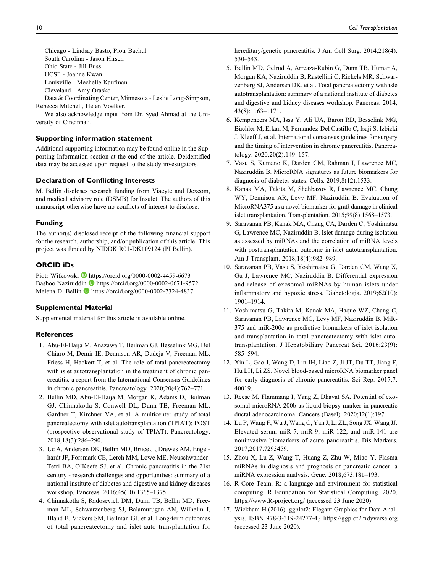Chicago - Lindsay Basto, Piotr Bachul South Carolina - Jason Hirsch Ohio State - Jill Buss UCSF - Joanne Kwan Louisville - Mechelle Kaufman Cleveland - Amy Orasko

Data & Coordinating Center, Minnesota - Leslie Long-Simpson, Rebecca Mitchell, Helen Voelker.

We also acknowledge input from Dr. Syed Ahmad at the University of Cincinnati.

### **Supporting information statement**

Additional supporting information may be found online in the Supporting Information section at the end of the article. Deidentified data may be accessed upon request to the study investigators.

### **Declaration of Conflicting Interests**

M. Bellin discloses research funding from Viacyte and Dexcom, and medical advisory role (DSMB) for Insulet. The authors of this manuscript otherwise have no conflicts of interest to disclose.

#### **Funding**

The author(s) disclosed receipt of the following financial support for the research, authorship, and/or publication of this article: This project was funded by NIDDK R01-DK109124 (PI Bellin).

### **ORCID iDs**

Piotr Witkowski D<https://orcid.org/0000-0002-4459-6673> Bashoo Naziruddin **<https://orcid.org/0000-0002-0671-9572>** Melena D. Bellin **b** <https://orcid.org/0000-0002-7324-4837>

### **Supplemental Material**

Supplemental material for this article is available online.

### **References**

- 1. Abu-El-Haija M, Anazawa T, Beilman GJ, Besselink MG, Del Chiaro M, Demir IE, Dennison AR, Dudeja V, Freeman ML, Friess H, Hackert T, et al. The role of total pancreatectomy with islet autotransplantation in the treatment of chronic pancreatitis: a report from the International Consensus Guidelines in chronic pancreatitis. Pancreatology. 2020;20(4):762–771.
- 2. Bellin MD, Abu-El-Haija M, Morgan K, Adams D, Beilman GJ, Chinnakotla S, Conwell DL, Dunn TB, Freeman ML, Gardner T, Kirchner VA, et al. A multicenter study of total pancreatectomy with islet autotransplantation (TPIAT): POST (prospective observational study of TPIAT). Pancreatology. 2018;18(3):286–290.
- 3. Uc A, Andersen DK, Bellin MD, Bruce JI, Drewes AM, Engelhardt JF, Forsmark CE, Lerch MM, Lowe ME, Neuschwander-Tetri BA, O'Keefe SJ, et al. Chronic pancreatitis in the 21st century - research challenges and opportunities: summary of a national institute of diabetes and digestive and kidney diseases workshop. Pancreas. 2016;45(10):1365–1375.
- 4. Chinnakotla S, Radosevich DM, Dunn TB, Bellin MD, Freeman ML, Schwarzenberg SJ, Balamurugan AN, Wilhelm J, Bland B, Vickers SM, Beilman GJ, et al. Long-term outcomes of total pancreatectomy and islet auto transplantation for

hereditary/genetic pancreatitis. J Am Coll Surg. 2014;218(4): 530–543.

- 5. Bellin MD, Gelrud A, Arreaza-Rubin G, Dunn TB, Humar A, Morgan KA, Naziruddin B, Rastellini C, Rickels MR, Schwarzenberg SJ, Andersen DK, et al. Total pancreatectomy with isle autotransplantation: summary of a national institute of diabetes and digestive and kidney diseases workshop. Pancreas. 2014; 43(8):1163–1171.
- 6. Kempeneers MA, Issa Y, Ali UA, Baron RD, Besselink MG, Büchler M, Erkan M, Fernandez-Del Castillo C, Isaji S, Izbicki J, Kleeff J, et al. International consensus guidelines for surgery and the timing of intervention in chronic pancreatitis. Pancreatology. 2020;20(2):149–157.
- 7. Vasu S, Kumano K, Darden CM, Rahman I, Lawrence MC, Naziruddin B. MicroRNA signatures as future biomarkers for diagnosis of diabetes states. Cells. 2019;8(12):1533.
- 8. Kanak MA, Takita M, Shahbazov R, Lawrence MC, Chung WY, Dennison AR, Levy MF, Naziruddin B. Evaluation of MicroRNA375 as a novel biomarker for graft damage in clinical islet transplantation. Transplantation. 2015;99(8):1568–1573.
- 9. Saravanan PB, Kanak MA, Chang CA, Darden C, Yoshimatsu G, Lawrence MC, Naziruddin B. Islet damage during isolation as assessed by miRNAs and the correlation of miRNA levels with posttransplantation outcome in islet autotransplantation. Am J Transplant. 2018;18(4):982–989.
- 10. Saravanan PB, Vasu S, Yoshimatsu G, Darden CM, Wang X, Gu J, Lawrence MC, Naziruddin B. Differential expression and release of exosomal miRNAs by human islets under inflammatory and hypoxic stress. Diabetologia. 2019;62(10): 1901–1914.
- 11. Yoshimatsu G, Takita M, Kanak MA, Haque WZ, Chang C, Saravanan PB, Lawrence MC, Levy MF, Naziruddin B. MiR-375 and miR-200c as predictive biomarkers of islet isolation and transplantation in total pancreatectomy with islet autotransplantation. J Hepatobiliary Pancreat Sci. 2016;23(9): 585–594.
- 12. Xin L, Gao J, Wang D, Lin JH, Liao Z, Ji JT, Du TT, Jiang F, Hu LH, Li ZS. Novel blood-based microRNA biomarker panel for early diagnosis of chronic pancreatitis. Sci Rep. 2017;7: 40019.
- 13. Reese M, Flammang I, Yang Z, Dhayat SA. Potential of exosomal microRNA-200b as liquid biopsy marker in pancreatic ductal adenocarcinoma. Cancers (Basel). 2020;12(1):197.
- 14. Lu P, Wang F, Wu J, Wang C, Yan J, Li ZL, Song JX, Wang JJ. Elevated serum miR-7, miR-9, miR-122, and miR-141 are noninvasive biomarkers of acute pancreatitis. Dis Markers. 2017;2017:7293459.
- 15. Zhou X, Lu Z, Wang T, Huang Z, Zhu W, Miao Y. Plasma miRNAs in diagnosis and prognosis of pancreatic cancer: a miRNA expression analysis. Gene. 2018;673:181–193.
- 16. R Core Team. R: a language and environment for statistical computing. R Foundation for Statistical Computing. 2020. <https://www.R-project.org/> (accessed 23 June 2020).
- 17. Wickham H (2016). ggplot2: Elegant Graphics for Data Analysis. ISBN 978-3-319-24277-4}<https://ggplot2.tidyverse.org> (accessed 23 June 2020).